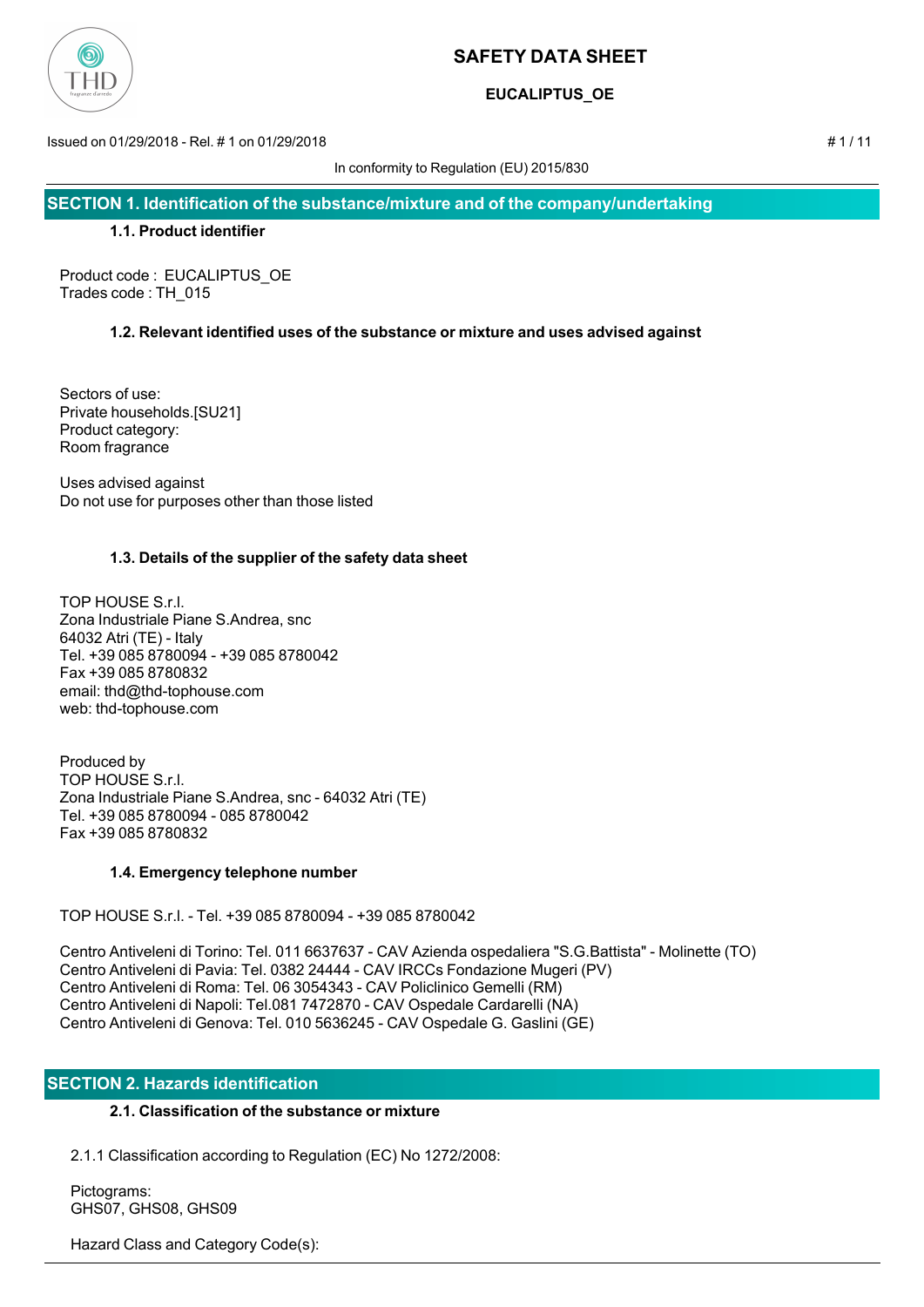

# **EUCALIPTUS\_OE**

Issued on 01/29/2018 - Rel. # 1 on 01/29/2018 # 1 / 11

In conformity to Regulation (EU) 2015/830

**SECTION 1. Identification of the substance/mixture and of the company/undertaking**

## **1.1. Product identifier**

Product code : EUCALIPTUS\_OE Trades code : TH\_015

# **1.2. Relevant identified uses of the substance or mixture and uses advised against**

Sectors of use: Private households.[SU21] Product category: Room fragrance

Uses advised against Do not use for purposes other than those listed

# **1.3. Details of the supplier of the safety data sheet**

TOP HOUSE S.r.l. Zona Industriale Piane S.Andrea, snc 64032 Atri (TE) - Italy Tel. +39 085 8780094 - +39 085 8780042 Fax +39 085 8780832 email: thd@thd-tophouse.com web: thd-tophouse.com

Produced by TOP HOUSE S.r.l. Zona Industriale Piane S.Andrea, snc - 64032 Atri (TE) Tel. +39 085 8780094 - 085 8780042 Fax +39 085 8780832

# **1.4. Emergency telephone number**

TOP HOUSE S.r.l. - Tel. +39 085 8780094 - +39 085 8780042

Centro Antiveleni di Torino: Tel. 011 6637637 - CAV Azienda ospedaliera "S.G.Battista" - Molinette (TO) Centro Antiveleni di Pavia: Tel. 0382 24444 - CAV IRCCs Fondazione Mugeri (PV) Centro Antiveleni di Roma: Tel. 06 3054343 - CAV Policlinico Gemelli (RM) Centro Antiveleni di Napoli: Tel.081 7472870 - CAV Ospedale Cardarelli (NA) Centro Antiveleni di Genova: Tel. 010 5636245 - CAV Ospedale G. Gaslini (GE)

# **SECTION 2. Hazards identification**

# **2.1. Classification of the substance or mixture**

2.1.1 Classification according to Regulation (EC) No 1272/2008:

 Pictograms: GHS07, GHS08, GHS09

Hazard Class and Category Code(s):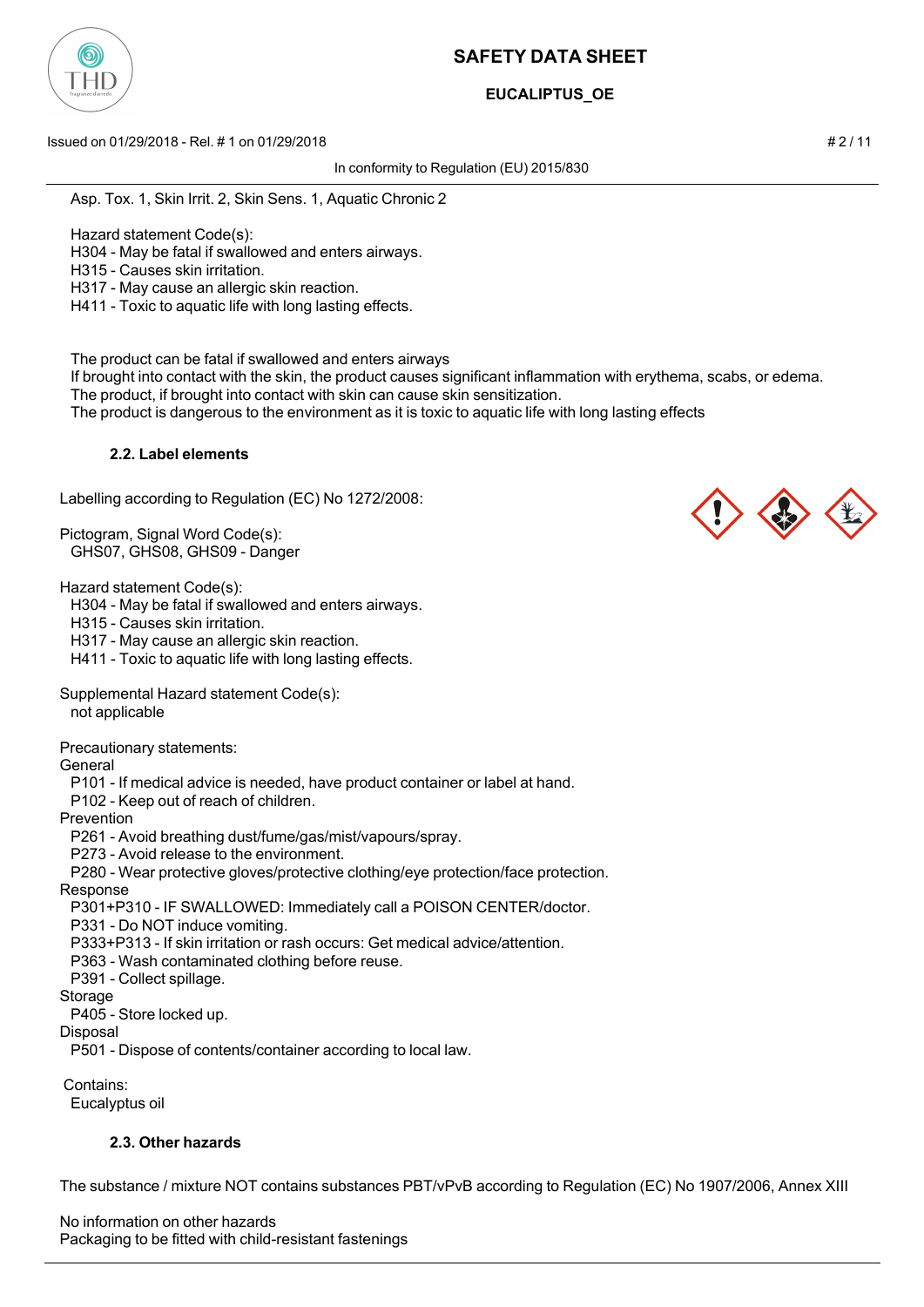

# **EUCALIPTUS\_OE**

Issued on 01/29/2018 - Rel. # 1 on 01/29/2018 # 2 / 11

In conformity to Regulation (EU) 2015/830

Asp. Tox. 1, Skin Irrit. 2, Skin Sens. 1, Aquatic Chronic 2

Hazard statement Code(s):

H304 - May be fatal if swallowed and enters airways.

H315 - Causes skin irritation.

H317 - May cause an allergic skin reaction.

H411 - Toxic to aquatic life with long lasting effects.

The product can be fatal if swallowed and enters airways

 If brought into contact with the skin, the product causes significant inflammation with erythema, scabs, or edema. The product, if brought into contact with skin can cause skin sensitization.

The product is dangerous to the environment as it is toxic to aquatic life with long lasting effects

#### **2.2. Label elements**

Labelling according to Regulation (EC) No 1272/2008:

Pictogram, Signal Word Code(s): GHS07, GHS08, GHS09 - Danger

Hazard statement Code(s):

H304 - May be fatal if swallowed and enters airways.

H315 - Causes skin irritation.

H317 - May cause an allergic skin reaction.

H411 - Toxic to aquatic life with long lasting effects.

Supplemental Hazard statement Code(s):

not applicable

Precautionary statements:

General

P101 - If medical advice is needed, have product container or label at hand.

P102 - Keep out of reach of children.

Prevention

P261 - Avoid breathing dust/fume/gas/mist/vapours/spray.

P273 - Avoid release to the environment.

P280 - Wear protective gloves/protective clothing/eye protection/face protection.

#### Response

P301+P310 - IF SWALLOWED: Immediately call a POISON CENTER/doctor.

P331 - Do NOT induce vomiting.

P333+P313 - If skin irritation or rash occurs: Get medical advice/attention.

P363 - Wash contaminated clothing before reuse.

P391 - Collect spillage.

#### Storage

P405 - Store locked up.

Disposal

P501 - Dispose of contents/container according to local law.

 Contains: Eucalyptus oil

### **2.3. Other hazards**

The substance / mixture NOT contains substances PBT/vPvB according to Regulation (EC) No 1907/2006, Annex XIII

No information on other hazards Packaging to be fitted with child-resistant fastenings



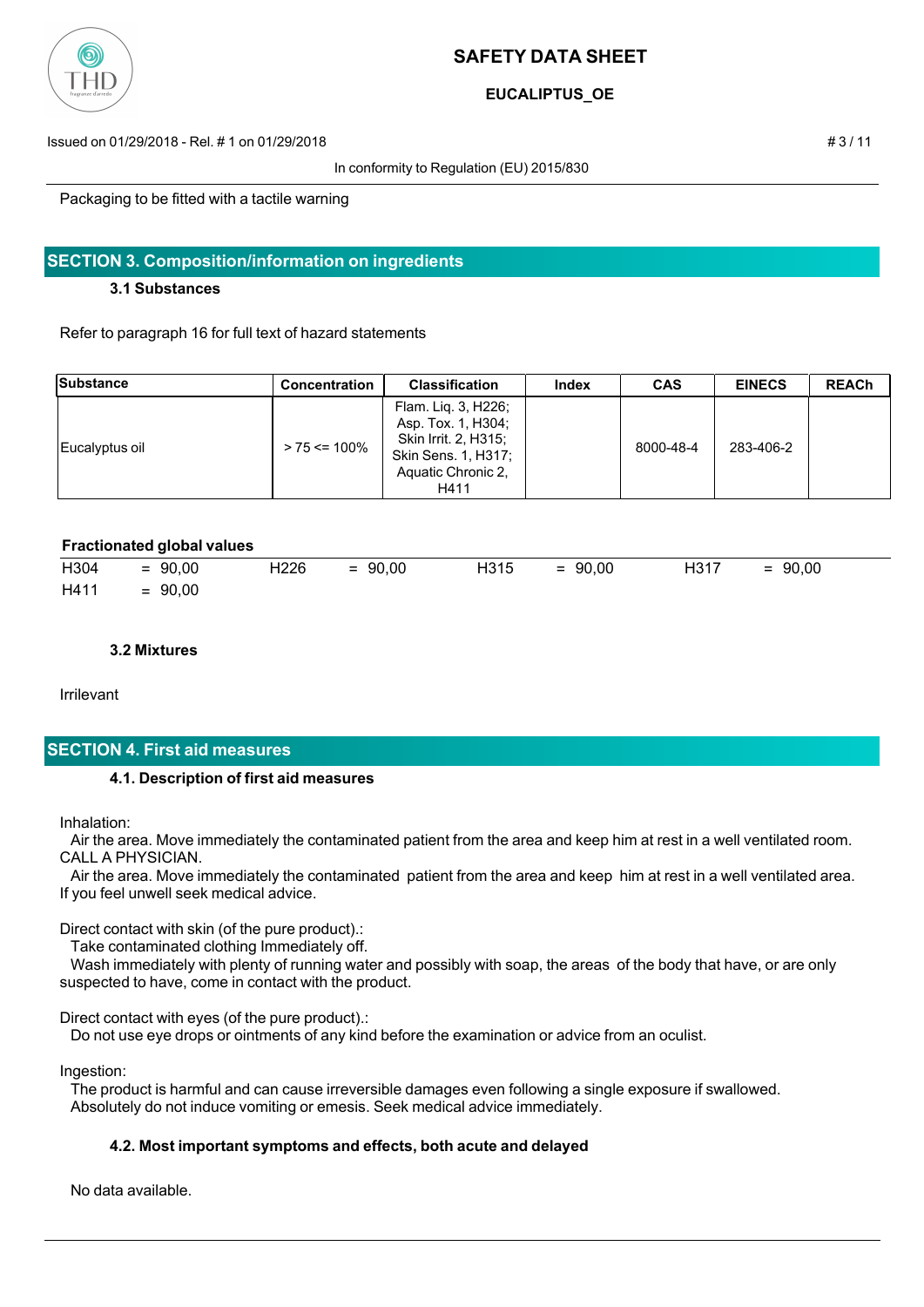

## **EUCALIPTUS\_OE**

Issued on 01/29/2018 - Rel. # 1 on 01/29/2018 # 3 / 11

In conformity to Regulation (EU) 2015/830

Packaging to be fitted with a tactile warning

## **SECTION 3. Composition/information on ingredients**

#### **3.1 Substances**

Refer to paragraph 16 for full text of hazard statements

| Substance      | <b>Concentration</b> | <b>Classification</b>                                                                                                  | Index | <b>CAS</b> | <b>EINECS</b> | <b>REACh</b> |
|----------------|----------------------|------------------------------------------------------------------------------------------------------------------------|-------|------------|---------------|--------------|
| Eucalyptus oil | $> 75 \le 100\%$     | Flam. Liq. 3, H226;<br>Asp. Tox. 1, H304;<br>Skin Irrit. 2, H315;<br>Skin Sens. 1, H317;<br>Aquatic Chronic 2,<br>H411 |       | 8000-48-4  | 283-406-2     |              |

### **Fractionated global values**

| H304 | $= 90,00$ | H226 | $= 90,00$ | H315 | $= 90,00$ | H317 | $= 90,00$ |
|------|-----------|------|-----------|------|-----------|------|-----------|
| H411 | $= 90,00$ |      |           |      |           |      |           |

#### **3.2 Mixtures**

Irrilevant

### **SECTION 4. First aid measures**

#### **4.1. Description of first aid measures**

Inhalation:

 Air the area. Move immediately the contaminated patient from the area and keep him at rest in a well ventilated room. CALL A PHYSICIAN.

 Air the area. Move immediately the contaminated patient from the area and keep him at rest in a well ventilated area. If you feel unwell seek medical advice.

Direct contact with skin (of the pure product).:

Take contaminated clothing Immediately off.

 Wash immediately with plenty of running water and possibly with soap, the areas of the body that have, or are only suspected to have, come in contact with the product.

Direct contact with eyes (of the pure product).:

Do not use eye drops or ointments of any kind before the examination or advice from an oculist.

Ingestion:

 The product is harmful and can cause irreversible damages even following a single exposure if swallowed. Absolutely do not induce vomiting or emesis. Seek medical advice immediately.

### **4.2. Most important symptoms and effects, both acute and delayed**

No data available.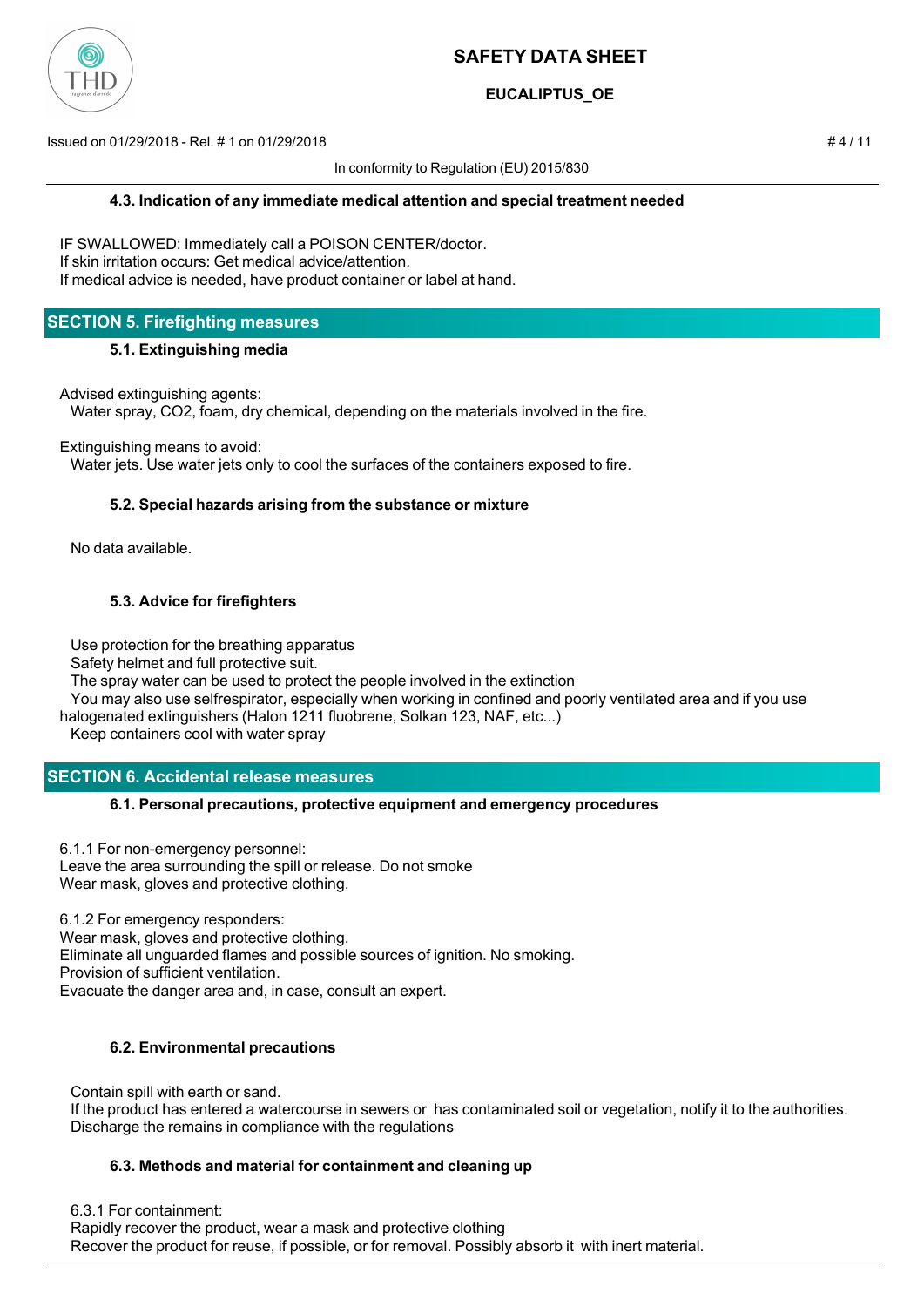

# **EUCALIPTUS\_OE**

Issued on 01/29/2018 - Rel. # 1 on 01/29/2018 # 4 / 11

In conformity to Regulation (EU) 2015/830

IF SWALLOWED: Immediately call a POISON CENTER/doctor. If skin irritation occurs: Get medical advice/attention. If medical advice is needed, have product container or label at hand.

## **SECTION 5. Firefighting measures**

#### **5.1. Extinguishing media**

Advised extinguishing agents:

Water spray, CO2, foam, dry chemical, depending on the materials involved in the fire.

Extinguishing means to avoid:

Water jets. Use water jets only to cool the surfaces of the containers exposed to fire.

#### **5.2. Special hazards arising from the substance or mixture**

No data available.

### **5.3. Advice for firefighters**

Use protection for the breathing apparatus

Safety helmet and full protective suit.

The spray water can be used to protect the people involved in the extinction

 You may also use selfrespirator, especially when working in confined and poorly ventilated area and if you use halogenated extinguishers (Halon 1211 fluobrene, Solkan 123, NAF, etc...)

Keep containers cool with water spray

# **SECTION 6. Accidental release measures**

### **6.1. Personal precautions, protective equipment and emergency procedures**

6.1.1 For non-emergency personnel: Leave the area surrounding the spill or release. Do not smoke Wear mask, gloves and protective clothing.

6.1.2 For emergency responders: Wear mask, gloves and protective clothing. Eliminate all unguarded flames and possible sources of ignition. No smoking. Provision of sufficient ventilation. Evacuate the danger area and, in case, consult an expert.

### **6.2. Environmental precautions**

 Contain spill with earth or sand. If the product has entered a watercourse in sewers or has contaminated soil or vegetation, notify it to the authorities. Discharge the remains in compliance with the regulations

### **6.3. Methods and material for containment and cleaning up**

6.3.1 For containment:

 Rapidly recover the product, wear a mask and protective clothing Recover the product for reuse, if possible, or for removal. Possibly absorb it with inert material.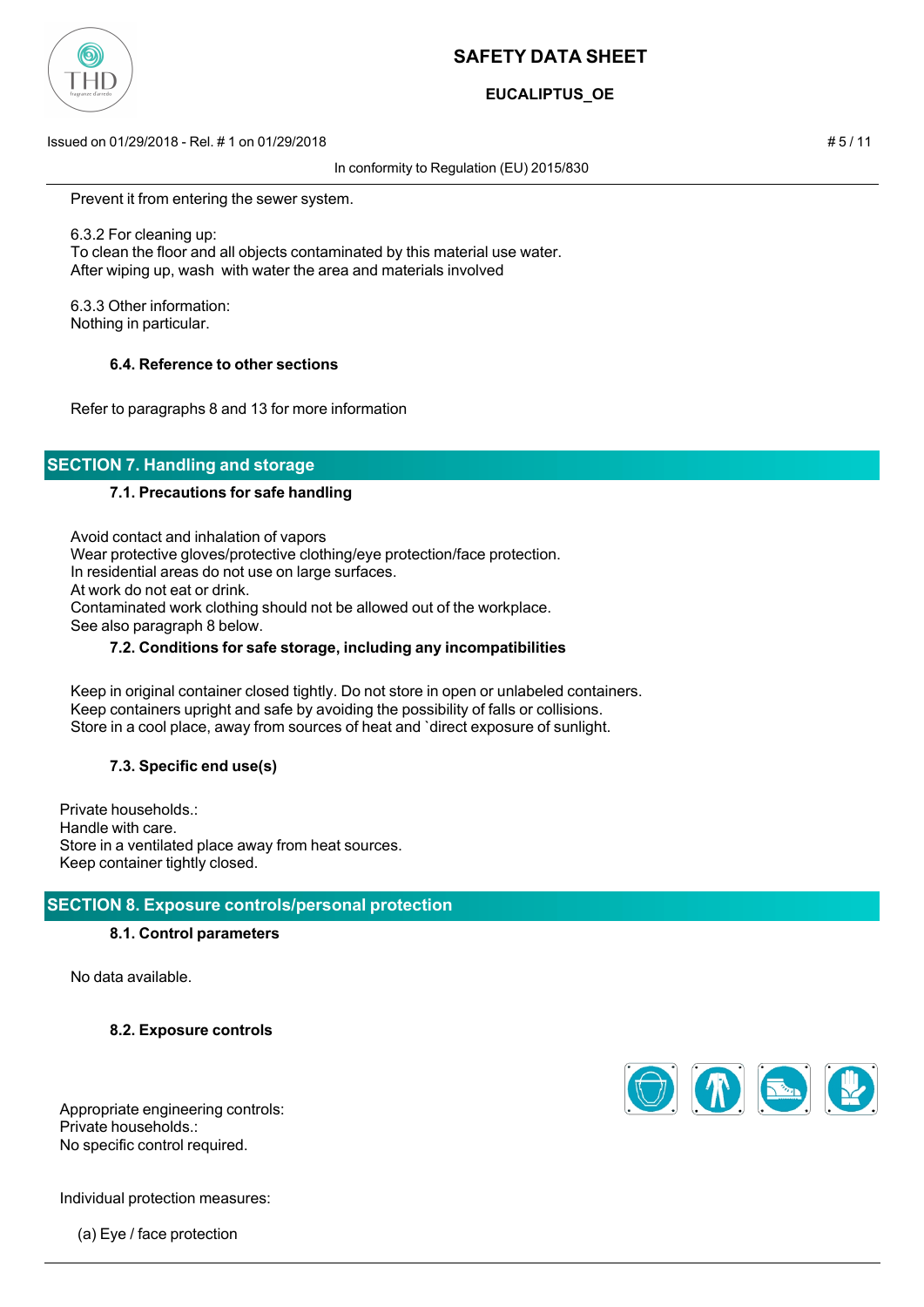

# **EUCALIPTUS\_OE**

Issued on 01/29/2018 - Rel. # 1 on 01/29/2018 # 5 / 11

In conformity to Regulation (EU) 2015/830

Prevent it from entering the sewer system.

 6.3.2 For cleaning up: To clean the floor and all objects contaminated by this material use water. After wiping up, wash with water the area and materials involved

 6.3.3 Other information: Nothing in particular.

#### **6.4. Reference to other sections**

Refer to paragraphs 8 and 13 for more information

# **SECTION 7. Handling and storage**

#### **7.1. Precautions for safe handling**

 Avoid contact and inhalation of vapors Wear protective gloves/protective clothing/eye protection/face protection. In residential areas do not use on large surfaces. At work do not eat or drink. Contaminated work clothing should not be allowed out of the workplace. See also paragraph 8 below.

#### **7.2. Conditions for safe storage, including any incompatibilities**

 Keep in original container closed tightly. Do not store in open or unlabeled containers. Keep containers upright and safe by avoiding the possibility of falls or collisions. Store in a cool place, away from sources of heat and `direct exposure of sunlight.

### **7.3. Specific end use(s)**

Private households.: Handle with care. Store in a ventilated place away from heat sources. Keep container tightly closed.

### **SECTION 8. Exposure controls/personal protection**

#### **8.1. Control parameters**

No data available.

**8.2. Exposure controls**



Appropriate engineering controls: Private households.: No specific control required.

Individual protection measures:

(a) Eye / face protection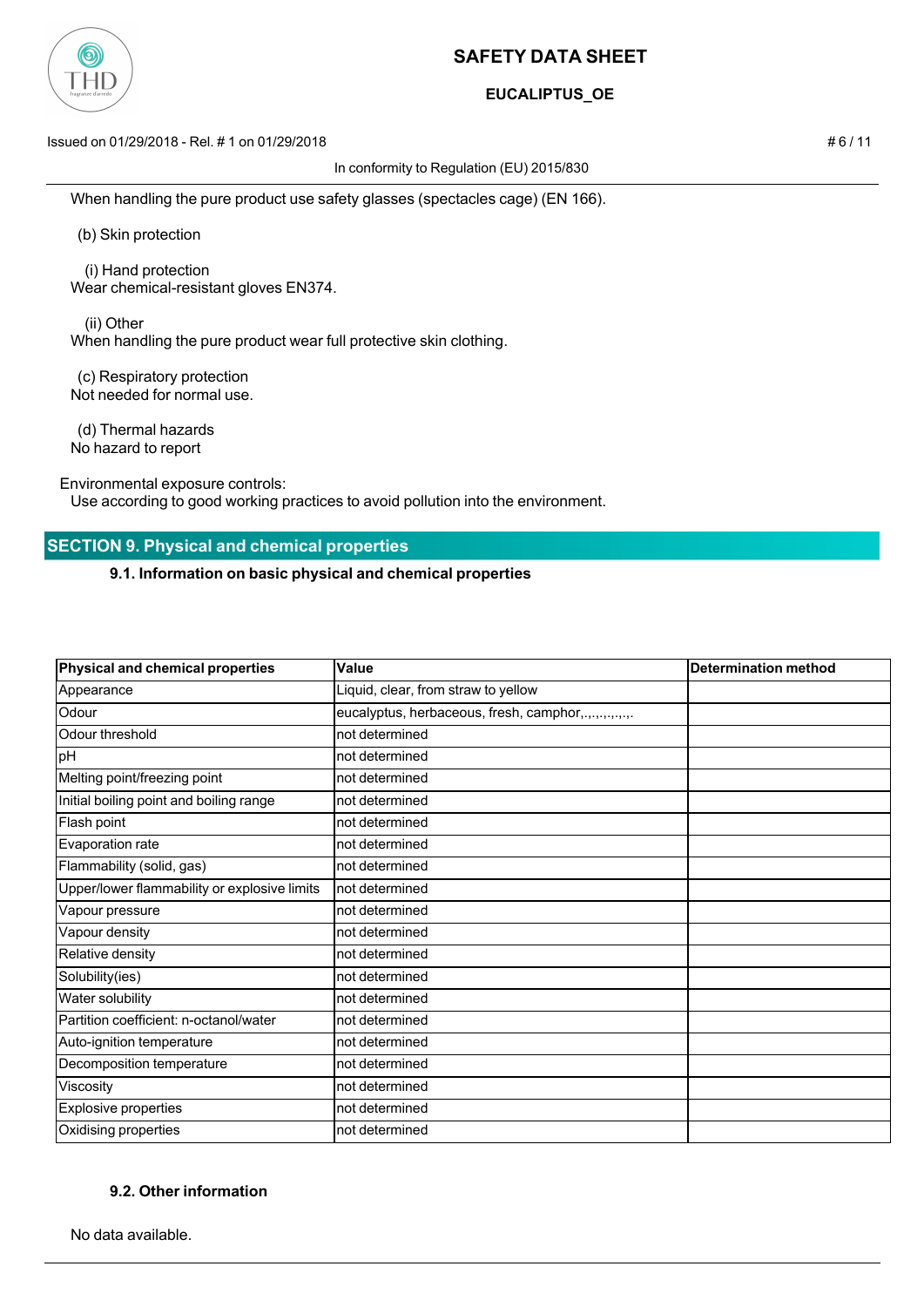

## **EUCALIPTUS\_OE**

Issued on 01/29/2018 - Rel. # 1 on 01/29/2018 # 6 / 11

In conformity to Regulation (EU) 2015/830

When handling the pure product use safety glasses (spectacles cage) (EN 166).

(b) Skin protection

 (i) Hand protection Wear chemical-resistant gloves EN374.

 (ii) Other When handling the pure product wear full protective skin clothing.

 (c) Respiratory protection Not needed for normal use.

 (d) Thermal hazards No hazard to report

Environmental exposure controls:

Use according to good working practices to avoid pollution into the environment.

## **SECTION 9. Physical and chemical properties**

**9.1. Information on basic physical and chemical properties**

| Physical and chemical properties             | Value                                               | <b>Determination method</b> |
|----------------------------------------------|-----------------------------------------------------|-----------------------------|
| Appearance                                   | Liquid, clear, from straw to yellow                 |                             |
| Odour                                        | eucalyptus, herbaceous, fresh, camphor,.,,,,,,,,,,, |                             |
| Odour threshold                              | not determined                                      |                             |
| pH                                           | not determined                                      |                             |
| Melting point/freezing point                 | not determined                                      |                             |
| Initial boiling point and boiling range      | not determined                                      |                             |
| Flash point                                  | not determined                                      |                             |
| Evaporation rate                             | not determined                                      |                             |
| Flammability (solid, gas)                    | not determined                                      |                             |
| Upper/lower flammability or explosive limits | not determined                                      |                             |
| Vapour pressure                              | not determined                                      |                             |
| Vapour density                               | not determined                                      |                             |
| Relative density                             | not determined                                      |                             |
| Solubility(ies)                              | not determined                                      |                             |
| Water solubility                             | not determined                                      |                             |
| Partition coefficient: n-octanol/water       | not determined                                      |                             |
| Auto-ignition temperature                    | not determined                                      |                             |
| Decomposition temperature                    | not determined                                      |                             |
| Viscosity                                    | not determined                                      |                             |
| <b>Explosive properties</b>                  | not determined                                      |                             |
| Oxidising properties                         | not determined                                      |                             |

### **9.2. Other information**

No data available.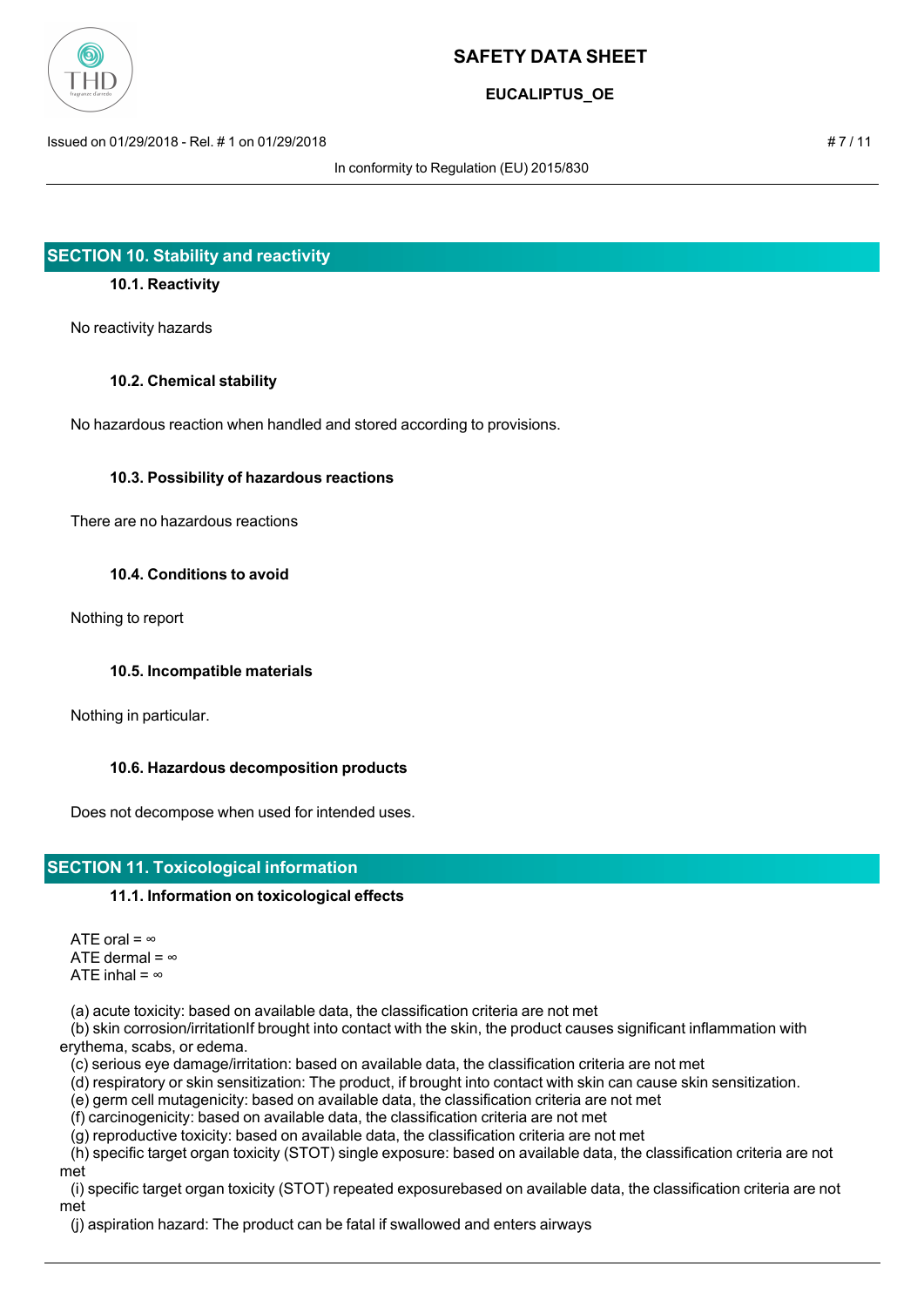

**EUCALIPTUS\_OE**

Issued on 01/29/2018 - Rel. # 1 on 01/29/2018 # 7 / 11

In conformity to Regulation (EU) 2015/830

# **SECTION 10. Stability and reactivity**

### **10.1. Reactivity**

No reactivity hazards

#### **10.2. Chemical stability**

No hazardous reaction when handled and stored according to provisions.

### **10.3. Possibility of hazardous reactions**

There are no hazardous reactions

#### **10.4. Conditions to avoid**

Nothing to report

### **10.5. Incompatible materials**

Nothing in particular.

### **10.6. Hazardous decomposition products**

Does not decompose when used for intended uses.

# **SECTION 11. Toxicological information**

### **11.1. Information on toxicological effects**

ATE oral =  $\infty$ ATE dermal =  $\infty$ ATE inhal =  $\infty$ 

(a) acute toxicity: based on available data, the classification criteria are not met

 (b) skin corrosion/irritationIf brought into contact with the skin, the product causes significant inflammation with erythema, scabs, or edema.

(c) serious eye damage/irritation: based on available data, the classification criteria are not met

(d) respiratory or skin sensitization: The product, if brought into contact with skin can cause skin sensitization.

(e) germ cell mutagenicity: based on available data, the classification criteria are not met

(f) carcinogenicity: based on available data, the classification criteria are not met

(g) reproductive toxicity: based on available data, the classification criteria are not met

 (h) specific target organ toxicity (STOT) single exposure: based on available data, the classification criteria are not met

 (i) specific target organ toxicity (STOT) repeated exposurebased on available data, the classification criteria are not met

(j) aspiration hazard: The product can be fatal if swallowed and enters airways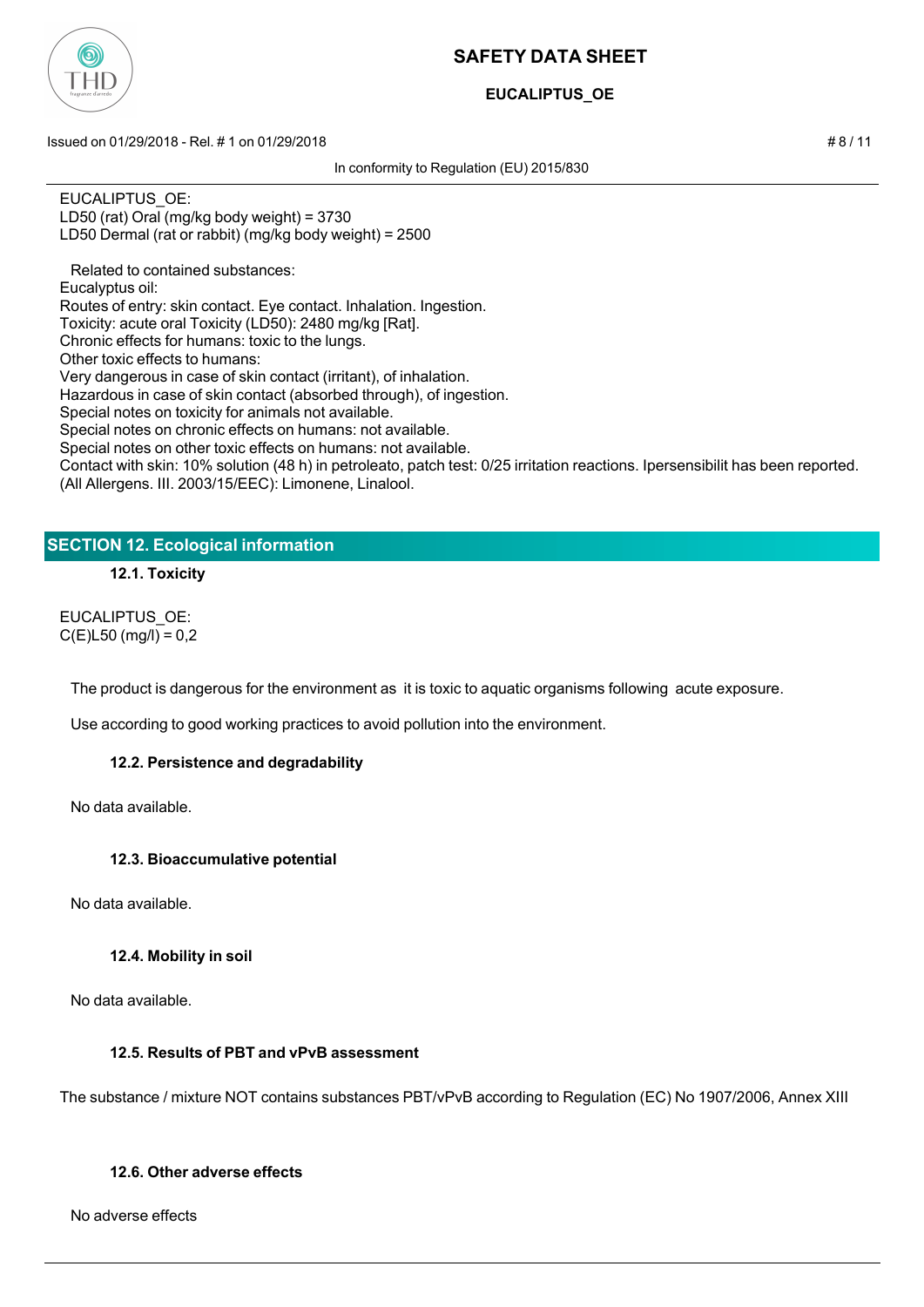

# **EUCALIPTUS\_OE**

Issued on 01/29/2018 - Rel. # 1 on 01/29/2018 # 8 / 11

In conformity to Regulation (EU) 2015/830

EUCALIPTUS\_OE: LD50 (rat) Oral (mg/kg body weight) = 3730 LD50 Dermal (rat or rabbit) (mg/kg body weight) = 2500

 Related to contained substances: Eucalyptus oil: Routes of entry: skin contact. Eye contact. Inhalation. Ingestion. Toxicity: acute oral Toxicity (LD50): 2480 mg/kg [Rat]. Chronic effects for humans: toxic to the lungs. Other toxic effects to humans: Very dangerous in case of skin contact (irritant), of inhalation. Hazardous in case of skin contact (absorbed through), of ingestion. Special notes on toxicity for animals not available. Special notes on chronic effects on humans: not available. Special notes on other toxic effects on humans: not available. Contact with skin: 10% solution (48 h) in petroleato, patch test: 0/25 irritation reactions. Ipersensibilit has been reported. (All Allergens. III. 2003/15/EEC): Limonene, Linalool.

# **SECTION 12. Ecological information**

**12.1. Toxicity**

EUCALIPTUS\_OE:  $C(E)L50$  (mg/l) = 0,2

The product is dangerous for the environment as it is toxic to aquatic organisms following acute exposure.

Use according to good working practices to avoid pollution into the environment.

### **12.2. Persistence and degradability**

No data available.

### **12.3. Bioaccumulative potential**

No data available.

### **12.4. Mobility in soil**

No data available.

### **12.5. Results of PBT and vPvB assessment**

The substance / mixture NOT contains substances PBT/vPvB according to Regulation (EC) No 1907/2006, Annex XIII

### **12.6. Other adverse effects**

No adverse effects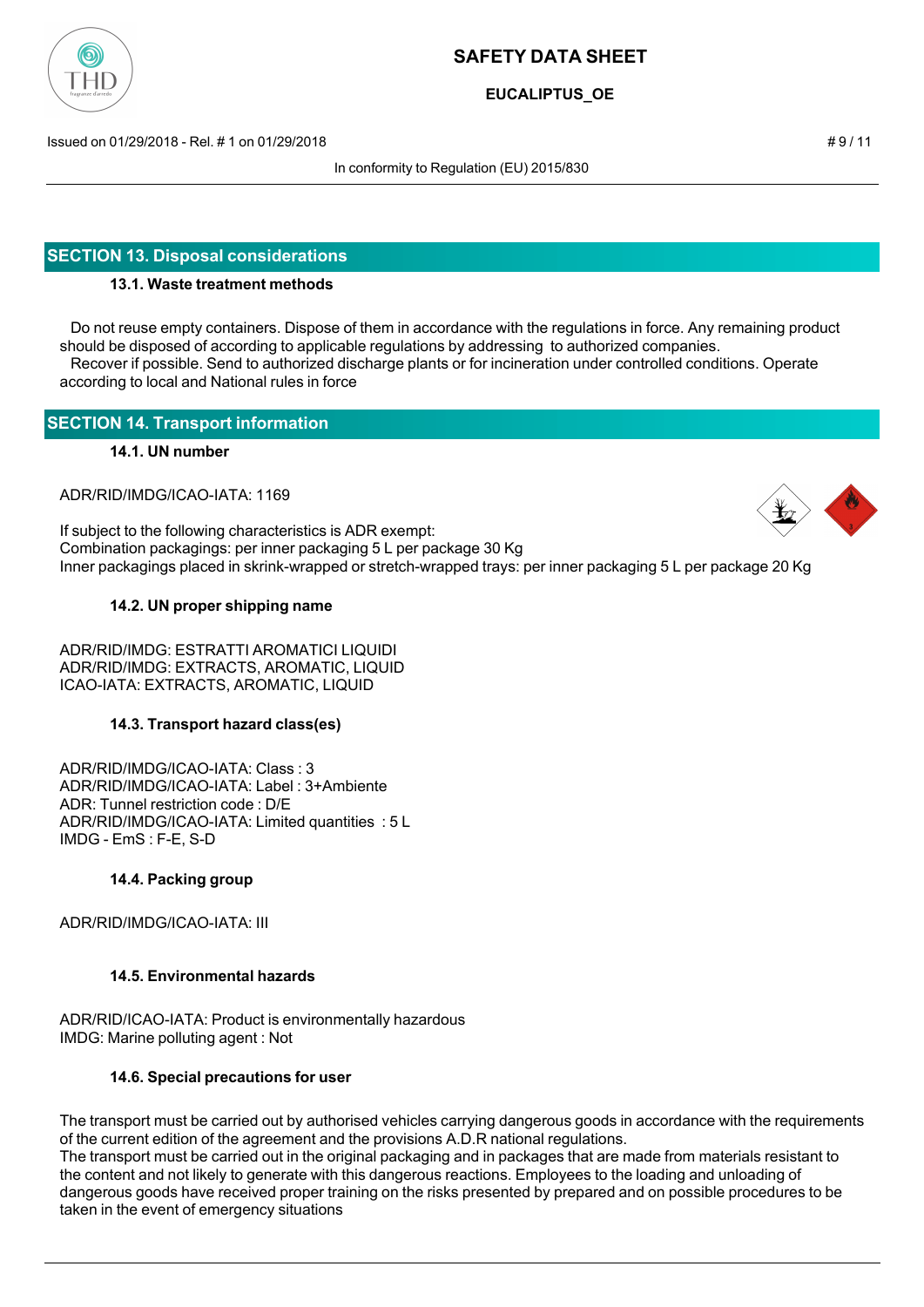

**EUCALIPTUS\_OE**

Issued on 01/29/2018 - Rel. # 1 on 01/29/2018 # 9 / 11

In conformity to Regulation (EU) 2015/830

## **SECTION 13. Disposal considerations**

### **13.1. Waste treatment methods**

 Do not reuse empty containers. Dispose of them in accordance with the regulations in force. Any remaining product should be disposed of according to applicable regulations by addressing to authorized companies. Recover if possible. Send to authorized discharge plants or for incineration under controlled conditions. Operate according to local and National rules in force

## **SECTION 14. Transport information**

#### **14.1. UN number**

ADR/RID/IMDG/ICAO-IATA: 1169

If subject to the following characteristics is ADR exempt: Combination packagings: per inner packaging 5 L per package 30 Kg Inner packagings placed in skrink-wrapped or stretch-wrapped trays: per inner packaging 5 L per package 20 Kg

### **14.2. UN proper shipping name**

ADR/RID/IMDG: ESTRATTI AROMATICI LIQUIDI ADR/RID/IMDG: EXTRACTS, AROMATIC, LIQUID ICAO-IATA: EXTRACTS, AROMATIC, LIQUID

#### **14.3. Transport hazard class(es)**

ADR/RID/IMDG/ICAO-IATA: Class : 3 ADR/RID/IMDG/ICAO-IATA: Label : 3+Ambiente ADR: Tunnel restriction code : D/E ADR/RID/IMDG/ICAO-IATA: Limited quantities : 5 L IMDG - EmS : F-E, S-D

### **14.4. Packing group**

ADR/RID/IMDG/ICAO-IATA: III

### **14.5. Environmental hazards**

ADR/RID/ICAO-IATA: Product is environmentally hazardous IMDG: Marine polluting agent : Not

#### **14.6. Special precautions for user**

The transport must be carried out by authorised vehicles carrying dangerous goods in accordance with the requirements of the current edition of the agreement and the provisions A.D.R national regulations. The transport must be carried out in the original packaging and in packages that are made from materials resistant to the content and not likely to generate with this dangerous reactions. Employees to the loading and unloading of dangerous goods have received proper training on the risks presented by prepared and on possible procedures to be



#### taken in the event of emergency situations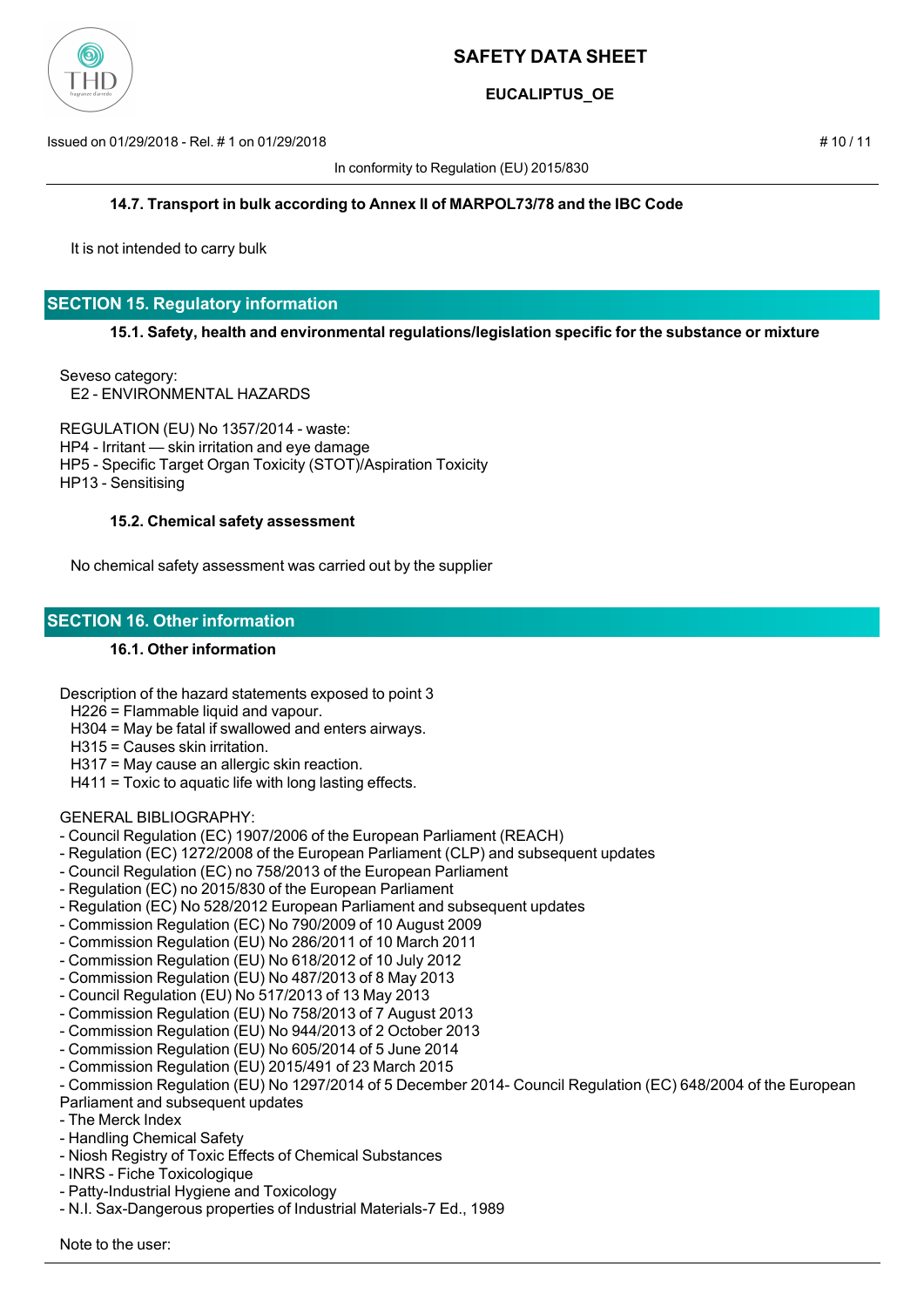

## **EUCALIPTUS\_OE**

Issued on 01/29/2018 - Rel. # 1 on 01/29/2018 # 10 / 11

In conformity to Regulation (EU) 2015/830

### **14.7. Transport in bulk according to Annex II of MARPOL73/78 and the IBC Code**

It is not intended to carry bulk

## **SECTION 15. Regulatory information**

#### **15.1. Safety, health and environmental regulations/legislation specific for the substance or mixture**

Seveso category: E2 - ENVIRONMENTAL HAZARDS

REGULATION (EU) No 1357/2014 - waste: HP4 - Irritant — skin irritation and eye damage HP5 - Specific Target Organ Toxicity (STOT)/Aspiration Toxicity HP13 - Sensitising

#### **15.2. Chemical safety assessment**

No chemical safety assessment was carried out by the supplier

## **SECTION 16. Other information**

#### **16.1. Other information**

Description of the hazard statements exposed to point 3

- H226 = Flammable liquid and vapour.
- H304 = May be fatal if swallowed and enters airways.
- H315 = Causes skin irritation.
- H317 = May cause an allergic skin reaction.
- H411 = Toxic to aquatic life with long lasting effects.

#### GENERAL BIBLIOGRAPHY:

- Council Regulation (EC) 1907/2006 of the European Parliament (REACH)
- Regulation (EC) 1272/2008 of the European Parliament (CLP) and subsequent updates
- Council Regulation (EC) no 758/2013 of the European Parliament
- Regulation (EC) no 2015/830 of the European Parliament
- Regulation (EC) No 528/2012 European Parliament and subsequent updates
- Commission Regulation (EC) No 790/2009 of 10 August 2009
- Commission Regulation (EU) No 286/2011 of 10 March 2011
- Commission Regulation (EU) No 618/2012 of 10 July 2012
- Commission Regulation (EU) No 487/2013 of 8 May 2013
- Council Regulation (EU) No 517/2013 of 13 May 2013
- Commission Regulation (EU) No 758/2013 of 7 August 2013
- Commission Regulation (EU) No 944/2013 of 2 October 2013
- Commission Regulation (EU) No 605/2014 of 5 June 2014
- Commission Regulation (EU) 2015/491 of 23 March 2015
- Commission Regulation (EU) No 1297/2014 of 5 December 2014- Council Regulation (EC) 648/2004 of the European Parliament and subsequent updates
- The Merck Index
- Handling Chemical Safety
- Niosh Registry of Toxic Effects of Chemical Substances
- INRS Fiche Toxicologique
- Patty-Industrial Hygiene and Toxicology
- N.I. Sax-Dangerous properties of Industrial Materials-7 Ed., 1989